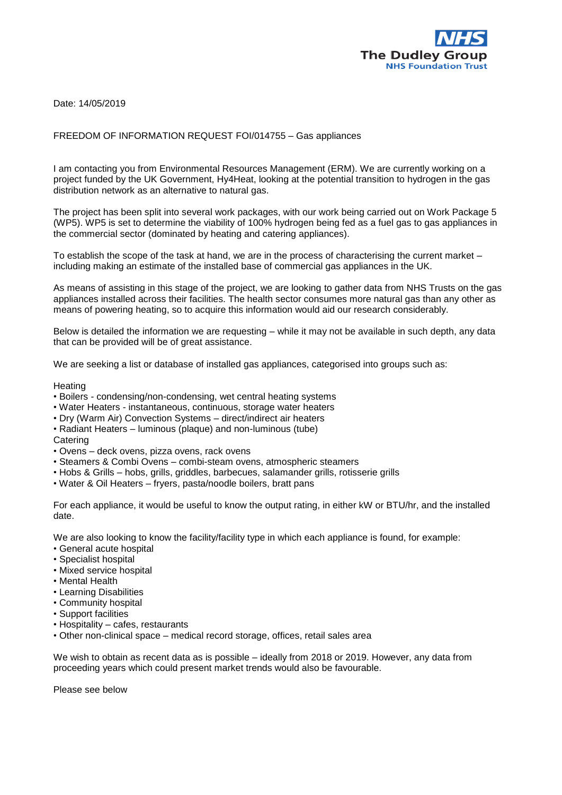

Date: 14/05/2019

## FREEDOM OF INFORMATION REQUEST FOI/014755 – Gas appliances

I am contacting you from Environmental Resources Management (ERM). We are currently working on a project funded by the UK Government, Hy4Heat, looking at the potential transition to hydrogen in the gas distribution network as an alternative to natural gas.

The project has been split into several work packages, with our work being carried out on Work Package 5 (WP5). WP5 is set to determine the viability of 100% hydrogen being fed as a fuel gas to gas appliances in the commercial sector (dominated by heating and catering appliances).

To establish the scope of the task at hand, we are in the process of characterising the current market – including making an estimate of the installed base of commercial gas appliances in the UK.

As means of assisting in this stage of the project, we are looking to gather data from NHS Trusts on the gas appliances installed across their facilities. The health sector consumes more natural gas than any other as means of powering heating, so to acquire this information would aid our research considerably.

Below is detailed the information we are requesting – while it may not be available in such depth, any data that can be provided will be of great assistance.

We are seeking a list or database of installed gas appliances, categorised into groups such as:

**Heating** 

- Boilers condensing/non-condensing, wet central heating systems
- Water Heaters instantaneous, continuous, storage water heaters
- Dry (Warm Air) Convection Systems direct/indirect air heaters
- Radiant Heaters luminous (plaque) and non-luminous (tube)

## **Catering**

- Ovens deck ovens, pizza ovens, rack ovens
- Steamers & Combi Ovens combi-steam ovens, atmospheric steamers
- Hobs & Grills hobs, grills, griddles, barbecues, salamander grills, rotisserie grills
- Water & Oil Heaters fryers, pasta/noodle boilers, bratt pans

For each appliance, it would be useful to know the output rating, in either kW or BTU/hr, and the installed date.

We are also looking to know the facility/facility type in which each appliance is found, for example:

- General acute hospital
- Specialist hospital
- Mixed service hospital
- Mental Health
- Learning Disabilities
- Community hospital
- Support facilities
- Hospitality cafes, restaurants
- Other non-clinical space medical record storage, offices, retail sales area

We wish to obtain as recent data as is possible – ideally from 2018 or 2019. However, any data from proceeding years which could present market trends would also be favourable.

Please see below